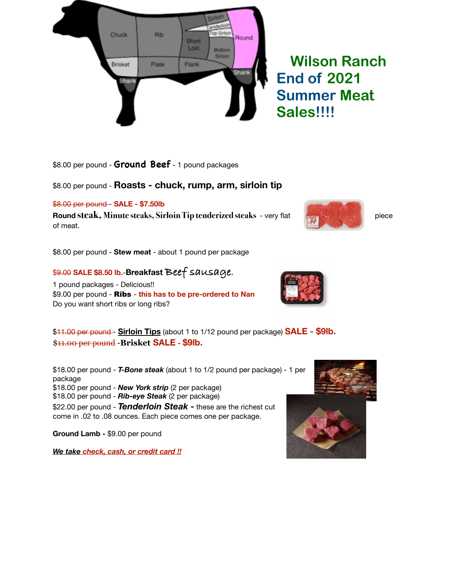

\$8.00 per pound - **Ground Beef** - 1 pound packages

## \$8.00 per pound - **Roasts - chuck, rump, arm, sirloin tip**

\$8.00 per pound - **SALE - \$7.50lb**

**Round steak, Minute steaks, Sirloin Tip tenderized steaks** - very flat piece of meat.

\$8.00 per pound - **Stew meat** - about 1 pound per package

## \$9.00 **SALE \$8.50 lb.**-**Breakfast Beef sausage.**

1 pound packages - Delicious!! \$9.00 per pound - Ribs - **this has to be pre-ordered to Nan**  Do you want short ribs or long ribs?

\$11.00 per pound - **Sirloin Tips** (about 1 to 1/12 pound per package) **SALE - \$9lb.** \$11.00 per pound -**Brisket SALE - \$9lb.**

\$18.00 per pound - *T-Bone steak* (about 1 to 1/2 pound per package) - 1 per package \$18.00 per pound - *New York strip* (2 per package) \$18.00 per pound - *Rib-eye Steak* (2 per package) \$22.00 per pound - *Tenderloin Steak -* these are the richest cut come in .02 to .08 ounces. Each piece comes one per package.

**Ground Lamb -** \$9.00 per pound

*We take check, cash, or credit card !!*